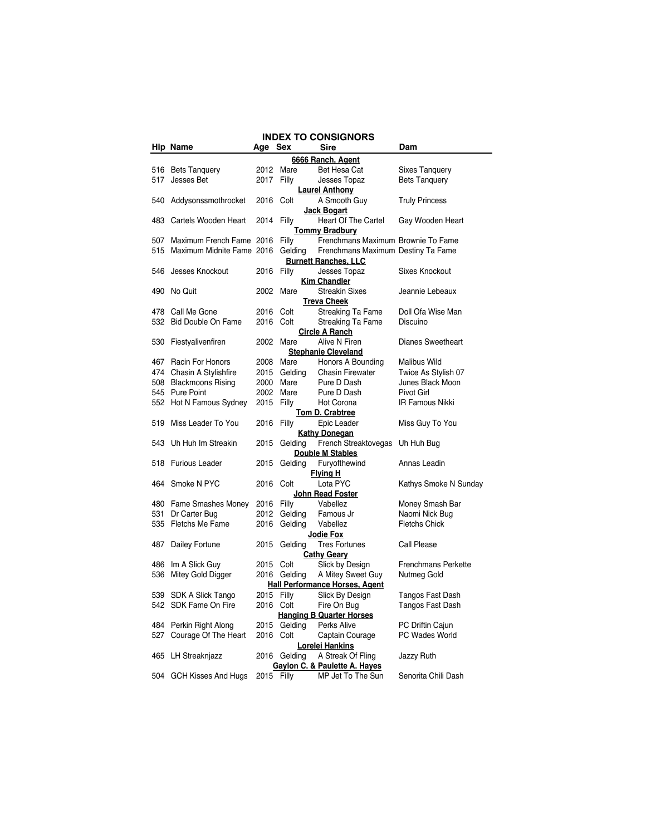|     |                           |            |              |                         | <b>INDEX TO CONSIGNORS</b>            |                                   |
|-----|---------------------------|------------|--------------|-------------------------|---------------------------------------|-----------------------------------|
|     | Hip Name                  | Age        | <b>Sex</b>   | Sire                    |                                       | Dam                               |
|     |                           |            |              |                         | 6666 Ranch, Agent                     |                                   |
| 516 | <b>Bets Tanguery</b>      | 2012       | Mare         |                         | Bet Hesa Cat                          | Sixes Tanquery                    |
| 517 | Jesses Bet                | 2017 Filly |              |                         | Jesses Topaz                          | <b>Bets Tanquery</b>              |
|     |                           |            |              | <b>Laurel Anthony</b>   |                                       |                                   |
|     | 540 Addysonssmothrocket   | 2016 Colt  |              |                         | A Smooth Guy                          | <b>Truly Princess</b>             |
|     |                           |            |              | <b>Jack Bogart</b>      |                                       |                                   |
| 483 | Cartels Wooden Heart      |            | 2014 Filly   |                         | Heart Of The Cartel                   | Gay Wooden Heart                  |
|     |                           |            |              | <b>Tommy Bradbury</b>   |                                       |                                   |
| 507 | Maximum French Fame 2016  |            | Filly        |                         | Frenchmans Maximum Brownie To Fame    |                                   |
| 515 | Maximum Midnite Fame 2016 |            | Gelding      |                         | Frenchmans Maximum Destiny Ta Fame    |                                   |
|     |                           |            |              |                         | <b>Burnett Ranches, LLC</b>           |                                   |
|     | 546 Jesses Knockout       | 2016 Filly |              |                         | Jesses Topaz                          | <b>Sixes Knockout</b>             |
|     |                           |            |              | <b>Kim Chandler</b>     |                                       |                                   |
|     | 490 No Quit               |            | 2002 Mare    |                         | <b>Streakin Sixes</b>                 | Jeannie Lebeaux                   |
|     |                           |            |              | <b>Treva Cheek</b>      |                                       |                                   |
|     | 478 Call Me Gone          |            | 2016 Colt    |                         | <b>Streaking Ta Fame</b>              | Doll Ofa Wise Man                 |
|     | 532 Bid Double On Fame    |            | 2016 Colt    |                         | Streaking Ta Fame                     | Discuino                          |
|     |                           |            |              | <b>Circle A Ranch</b>   |                                       |                                   |
| 530 | Fiestyalivenfiren         |            | 2002 Mare    |                         | Alive N Firen                         | <b>Dianes Sweetheart</b>          |
|     |                           |            |              |                         | <b>Stephanie Cleveland</b>            |                                   |
|     | 467 Racin For Honors      |            | 2008 Mare    |                         | Honors A Bounding                     | Malibus Wild                      |
|     | 474 Chasin A Stylishfire  |            | 2015 Gelding |                         | <b>Chasin Firewater</b>               | Twice As Stylish 07               |
|     | 508 Blackmoons Rising     | 2000       | Mare         |                         | Pure D Dash                           | Junes Black Moon                  |
|     | 545 Pure Point            |            | 2002 Mare    |                         | Pure D Dash                           | <b>Pivot Girl</b>                 |
|     | 552 Hot N Famous Sydney   | 2015 Filly |              |                         | Hot Corona                            | IR Famous Nikki                   |
|     |                           |            |              | <b>Tom D. Crabtree</b>  |                                       |                                   |
| 519 | Miss Leader To You        | 2016 Filly |              |                         | Epic Leader                           | Miss Guy To You                   |
|     |                           |            |              | <b>Kathy Donegan</b>    |                                       |                                   |
|     | 543 Uh Huh Im Streakin    | 2015       | Gelding      |                         | French Streaktovegas Uh Huh Bug       |                                   |
|     |                           |            |              | Double M Stables        |                                       |                                   |
|     | 518 Furious Leader        | 2015       | Gelding      |                         | Furyofthewind                         | Annas Leadin                      |
|     |                           |            |              | <b>Flying H</b>         |                                       |                                   |
|     | 464 Smoke N PYC           | 2016 Colt  |              |                         | Lota PYC                              | Kathys Smoke N Sunday             |
|     | 480 Fame Smashes Money    | 2016 Filly |              | <b>John Read Foster</b> | Vabellez                              |                                   |
| 531 | Dr Carter Bug             | 2012       | Gelding      |                         | Famous Jr                             | Money Smash Bar<br>Naomi Nick Bug |
|     | 535 Fletchs Me Fame       | 2016       | Gelding      |                         | Vabellez                              | <b>Fletchs Chick</b>              |
|     |                           |            |              | <b>Jodie Fox</b>        |                                       |                                   |
| 487 | Dailey Fortune            | 2015       | Gelding      |                         | <b>Tres Fortunes</b>                  | Call Please                       |
|     |                           |            |              | <b>Cathy Geary</b>      |                                       |                                   |
|     | 486 Im A Slick Guy        |            | 2015 Colt    |                         | Slick by Design                       | <b>Frenchmans Perkette</b>        |
|     | 536 Mitey Gold Digger     |            | 2016 Gelding |                         | A Mitey Sweet Guy                     | Nutmeg Gold                       |
|     |                           |            |              |                         | <b>Hall Performance Horses, Agent</b> |                                   |
|     | 539 SDK A Slick Tango     | 2015 Filly |              |                         | Slick By Design                       | Tangos Fast Dash                  |
|     | 542 SDK Fame On Fire      |            | 2016 Colt    |                         | Fire On Bug                           | Tangos Fast Dash                  |
|     |                           |            |              |                         | <b>Hanging B Quarter Horses</b>       |                                   |
|     | 484 Perkin Right Along    |            | 2015 Gelding |                         | Perks Alive                           | PC Driftin Cajun                  |
|     | 527 Courage Of The Heart  |            | 2016 Colt    |                         | Captain Courage                       | PC Wades World                    |
|     |                           |            |              | Lorelei Hankins         |                                       |                                   |
|     | 465 LH Streaknjazz        |            | 2016 Gelding |                         | A Streak Of Fling                     | Jazzy Ruth                        |
|     |                           |            |              |                         | Gaylon C. & Paulette A. Hayes         |                                   |
|     | 504 GCH Kisses And Hugs   | 2015 Filly |              |                         | MP Jet To The Sun                     | Senorita Chili Dash               |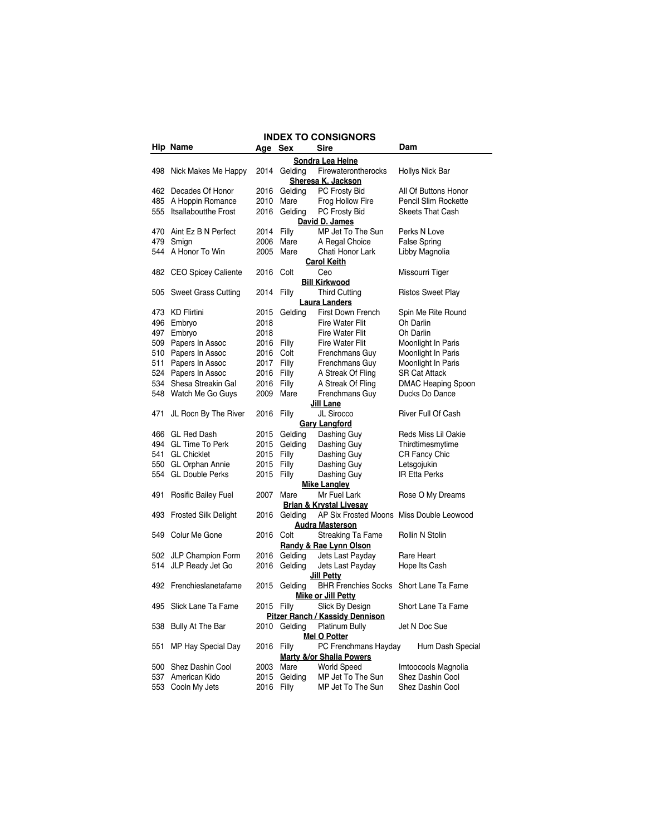|     | <b>INDEX TO CONSIGNORS</b>                                                    |            |              |                                                                                |                           |  |  |
|-----|-------------------------------------------------------------------------------|------------|--------------|--------------------------------------------------------------------------------|---------------------------|--|--|
|     | Hip Name                                                                      | Age Sex    |              | Sire                                                                           | Dam                       |  |  |
|     |                                                                               |            |              | Sondra Lea Heine                                                               |                           |  |  |
|     | 498 Nick Makes Me Happy                                                       | 2014       | Gelding      | Firewaterontherocks<br>Sheresa K. Jackson                                      | Hollys Nick Bar           |  |  |
|     | 462 Decades Of Honor                                                          | 2016       | Geldina      | PC Frosty Bid                                                                  | All Of Buttons Honor      |  |  |
|     | 485 A Hoppin Romance                                                          | 2010       | Mare         | Frog Hollow Fire                                                               | Pencil Slim Rockette      |  |  |
| 555 | Itsallaboutthe Frost                                                          | 2016       | Gelding      | PC Frosty Bid                                                                  | <b>Skeets That Cash</b>   |  |  |
|     |                                                                               |            |              | David D. James                                                                 |                           |  |  |
| 470 | Aint Ez B N Perfect                                                           | 2014       | Filly        | MP Jet To The Sun                                                              | Perks N Love              |  |  |
| 479 | Smign                                                                         | 2006       | Mare         | A Regal Choice                                                                 | <b>False Spring</b>       |  |  |
|     | 544 A Honor To Win                                                            | 2005       | Mare         | Chati Honor Lark                                                               | Libby Magnolia            |  |  |
|     |                                                                               |            |              | <b>Carol Keith</b>                                                             |                           |  |  |
| 482 | <b>CEO Spicey Caliente</b>                                                    | 2016       | Colt         | Ceo                                                                            | Missourri Tiger           |  |  |
|     |                                                                               |            |              | <b>Bill Kirkwood</b>                                                           |                           |  |  |
| 505 | Sweet Grass Cutting                                                           | 2014       | Filly        | <b>Third Cutting</b>                                                           | <b>Ristos Sweet Play</b>  |  |  |
|     |                                                                               |            |              | <b>Laura Landers</b>                                                           |                           |  |  |
|     | 473 KD Flirtini                                                               | 2015       | Gelding      | First Down French                                                              | Spin Me Rite Round        |  |  |
|     | 496 Embryo                                                                    | 2018       |              | Fire Water Flit                                                                | Oh Darlin                 |  |  |
|     | 497 Embryo                                                                    | 2018       |              | Fire Water Flit                                                                | Oh Darlin                 |  |  |
|     | 509 Papers In Assoc                                                           | 2016 Filly |              | Fire Water Flit                                                                | Moonlight In Paris        |  |  |
|     | 510 Papers In Assoc                                                           | 2016       | Colt         | Frenchmans Guy                                                                 | Moonlight In Paris        |  |  |
| 511 | Papers In Assoc                                                               | 2017       | Filly        | Frenchmans Guy                                                                 | Moonlight In Paris        |  |  |
|     | 524 Papers In Assoc                                                           | 2016       | Filly        | A Streak Of Fling                                                              | <b>SR Cat Attack</b>      |  |  |
| 534 | Shesa Streakin Gal                                                            | 2016 Filly |              | A Streak Of Fling                                                              | <b>DMAC Heaping Spoon</b> |  |  |
|     | 548 Watch Me Go Guys                                                          | 2009       | Mare         | Frenchmans Guy                                                                 | Ducks Do Dance            |  |  |
|     |                                                                               |            |              | <b>Jill Lane</b>                                                               |                           |  |  |
| 471 | JL Rocn By The River                                                          | 2016 Filly |              | JL Sirocco                                                                     | River Full Of Cash        |  |  |
|     |                                                                               |            |              | <b>Gary Langford</b>                                                           |                           |  |  |
|     | 466 GL Red Dash                                                               | 2015       | Gelding      | Dashing Guy                                                                    | Reds Miss Lil Oakie       |  |  |
|     | 494 GL Time To Perk                                                           | 2015       | Gelding      | Dashing Guy                                                                    | Thirdtimesmytime          |  |  |
|     | 541 GL Chicklet                                                               | 2015       | Filly        | Dashing Guy                                                                    | <b>CR Fancy Chic</b>      |  |  |
|     | 550 GL Orphan Annie                                                           | 2015       | Filly        | Dashing Guy                                                                    | Letsgojukin               |  |  |
| 554 | <b>GL Double Perks</b>                                                        | 2015       | Filly        | Dashing Guy                                                                    | <b>IR Etta Perks</b>      |  |  |
|     |                                                                               |            |              | <b>Mike Langley</b>                                                            |                           |  |  |
| 491 | Rosific Bailey Fuel                                                           | 2007       | Mare         | Mr Fuel Lark                                                                   | Rose O My Dreams          |  |  |
|     | 493 Frosted Silk Delight                                                      |            | 2016 Gelding | <b>Brian &amp; Krystal Livesay</b><br>AP Six Frosted Moons Miss Double Leowood |                           |  |  |
|     |                                                                               |            |              | <b>Audra Masterson</b>                                                         |                           |  |  |
|     | 549 Colur Me Gone                                                             | 2016 Colt  |              | Streaking Ta Fame                                                              | Rollin N Stolin           |  |  |
|     |                                                                               |            |              | <b>Randy &amp; Rae Lynn Olson</b>                                              |                           |  |  |
|     | 502 JLP Champion Form                                                         |            | 2016 Gelding | Jets Last Payday                                                               | Rare Heart                |  |  |
| 514 | JLP Ready Jet Go                                                              | 2016       | Gelding      | Jets Last Payday                                                               | Hope Its Cash             |  |  |
|     |                                                                               |            |              | Jill Petty                                                                     |                           |  |  |
|     | 492 Frenchieslanetafame                                                       | 2015       | Gelding      | <b>BHR Frenchies Socks</b>                                                     | Short Lane Ta Fame        |  |  |
|     |                                                                               |            |              | Mike or Jill Petty                                                             |                           |  |  |
|     | 495 Slick Lane Ta Fame                                                        | 2015       | Filly        | Slick By Design                                                                | Short Lane Ta Fame        |  |  |
|     |                                                                               |            |              | <b>Pitzer Ranch / Kassidy Dennison</b>                                         |                           |  |  |
| 538 | Bully At The Bar                                                              |            | 2010 Gelding | Platinum Bully                                                                 | Jet N Doc Sue             |  |  |
|     |                                                                               |            |              | <b>Mel O Potter</b>                                                            |                           |  |  |
| 551 | MP Hay Special Day                                                            | 2016 Filly |              | PC Frenchmans Hayday                                                           | Hum Dash Special          |  |  |
|     |                                                                               |            |              | <b>Marty &amp;/or Shalia Powers</b>                                            |                           |  |  |
| 500 | Shez Dashin Cool<br>Mare<br><b>World Speed</b><br>Imtoocools Magnolia<br>2003 |            |              |                                                                                |                           |  |  |
| 537 | American Kido                                                                 | 2015       | Gelding      | MP Jet To The Sun                                                              | Shez Dashin Cool          |  |  |
| 553 | Cooln My Jets                                                                 | 2016       | Filly        | MP Jet To The Sun                                                              | Shez Dashin Cool          |  |  |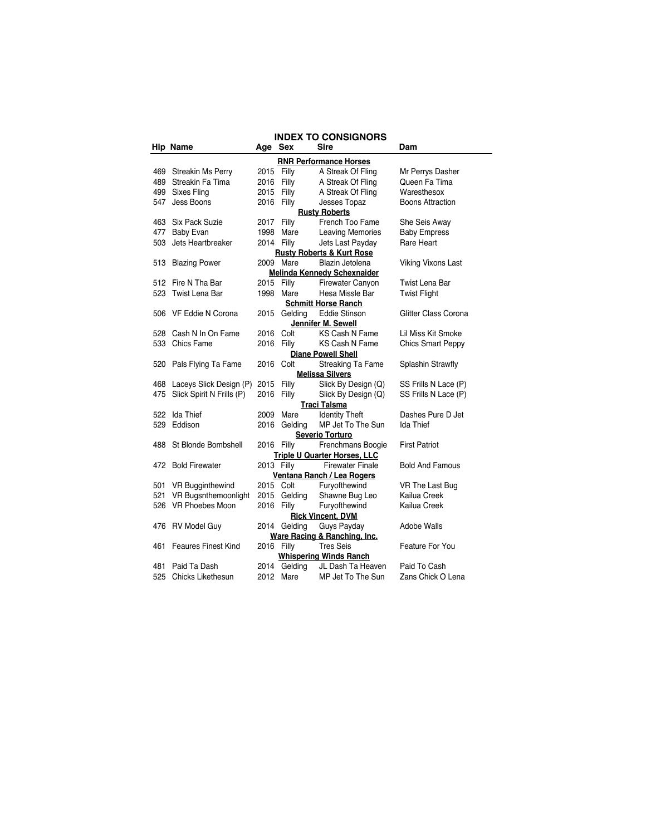|     | <b>INDEX TO CONSIGNORS</b>  |            |              |                                              |                           |  |  |
|-----|-----------------------------|------------|--------------|----------------------------------------------|---------------------------|--|--|
|     | Hip Name                    | Age Sex    |              | <b>Sire</b>                                  | Dam                       |  |  |
|     |                             |            |              | <b>RNR Performance Horses</b>                |                           |  |  |
| 469 | Streakin Ms Perry           | 2015       | Filly        | A Streak Of Fling                            | Mr Perrys Dasher          |  |  |
|     | 489 Streakin Fa Tima        | 2016       | Filly        | A Streak Of Fling                            | Queen Fa Tima             |  |  |
|     | 499 Sixes Fling             | 2015       | Filly        | A Streak Of Fling                            | Waresthesox               |  |  |
| 547 | Jess Boons                  | 2016       | Filly        | Jesses Topaz                                 | <b>Boons Attraction</b>   |  |  |
|     |                             |            |              | <b>Rusty Roberts</b>                         |                           |  |  |
|     | 463 Six Pack Suzie          | 2017       | Filly        | French Too Fame                              | She Seis Away             |  |  |
| 477 | <b>Baby Evan</b>            | 1998       | Mare         | <b>Leaving Memories</b>                      | <b>Baby Empress</b>       |  |  |
| 503 | Jets Heartbreaker           | 2014 Filly |              | Jets Last Payday                             | Rare Heart                |  |  |
|     |                             |            |              | <b>Rusty Roberts &amp; Kurt Rose</b>         |                           |  |  |
|     | 513 Blazing Power           |            | 2009 Mare    | Blazin Jetolena                              | <b>Viking Vixons Last</b> |  |  |
|     |                             |            |              | <b>Melinda Kennedy Schexnaider</b>           |                           |  |  |
|     | 512 Fire N Tha Bar          | 2015 Filly |              | Firewater Canyon                             | Twist Lena Bar            |  |  |
|     | 523 Twist Lena Bar          | 1998       | Mare         | Hesa Missle Bar                              | <b>Twist Flight</b>       |  |  |
|     |                             |            |              | <b>Schmitt Horse Ranch</b>                   |                           |  |  |
|     | 506 VF Eddie N Corona       |            | 2015 Gelding | <b>Eddie Stinson</b>                         | Glitter Class Corona      |  |  |
|     |                             |            |              | Jennifer M. Sewell                           |                           |  |  |
| 528 | Cash N In On Fame           | 2016       | Colt         | KS Cash N Fame                               | Lil Miss Kit Smoke        |  |  |
|     | 533 Chics Fame              | 2016       | Filly        | KS Cash N Fame                               | <b>Chics Smart Peppy</b>  |  |  |
|     |                             |            |              | <b>Diane Powell Shell</b>                    |                           |  |  |
|     | 520 Pals Flying Ta Fame     | 2016       | Colt         | <b>Streaking Ta Fame</b>                     | Splashin Strawfly         |  |  |
|     |                             |            |              | <b>Melissa Silvers</b>                       |                           |  |  |
|     | 468 Laceys Slick Design (P) | 2015       | Filly        | Slick By Design (Q)                          | SS Frills N Lace (P)      |  |  |
| 475 | Slick Spirit N Frills (P)   | 2016       | Filly        | Slick By Design (Q)                          | SS Frills N Lace (P)      |  |  |
|     | 522 Ida Thief               | 2009       | Mare         | <b>Traci Talsma</b><br><b>Identity Theft</b> | Dashes Pure D Jet         |  |  |
| 529 | Eddison                     | 2016       | Geldina      | MP Jet To The Sun                            | Ida Thief                 |  |  |
|     |                             |            |              | Severio Torturo                              |                           |  |  |
| 488 | St Blonde Bombshell         | 2016 Filly |              | Frenchmans Boogie                            | <b>First Patriot</b>      |  |  |
|     |                             |            |              | <b>Triple U Quarter Horses, LLC</b>          |                           |  |  |
|     | 472 Bold Firewater          | 2013 Filly |              | <b>Firewater Finale</b>                      | <b>Bold And Famous</b>    |  |  |
|     |                             |            |              | Ventana Ranch / Lea Rogers                   |                           |  |  |
| 501 | <b>VR Bugginthewind</b>     | 2015 Colt  |              | Furyofthewind                                | VR The Last Bug           |  |  |
| 521 | VR Bugsnthemoonlight        | 2015       | Gelding      | Shawne Bug Leo                               | Kailua Creek              |  |  |
| 526 | VR Phoebes Moon             | 2016       | Filly        | Furyofthewind                                | Kailua Creek              |  |  |
|     |                             |            |              | <b>Rick Vincent, DVM</b>                     |                           |  |  |
|     | 476 RV Model Guy            |            | 2014 Gelding | Guys Payday                                  | Adobe Walls               |  |  |
|     |                             |            |              | Ware Racing & Ranching, Inc.                 |                           |  |  |
| 461 | <b>Feaures Finest Kind</b>  | 2016 Filly |              | <b>Tres Seis</b>                             | Feature For You           |  |  |
|     |                             |            |              | <b>Whispering Winds Ranch</b>                |                           |  |  |
| 481 | Paid Ta Dash                |            | 2014 Gelding | JL Dash Ta Heaven                            | Paid To Cash              |  |  |
| 525 | Chicks Likethesun           |            | 2012 Mare    | MP Jet To The Sun                            | Zans Chick O Lena         |  |  |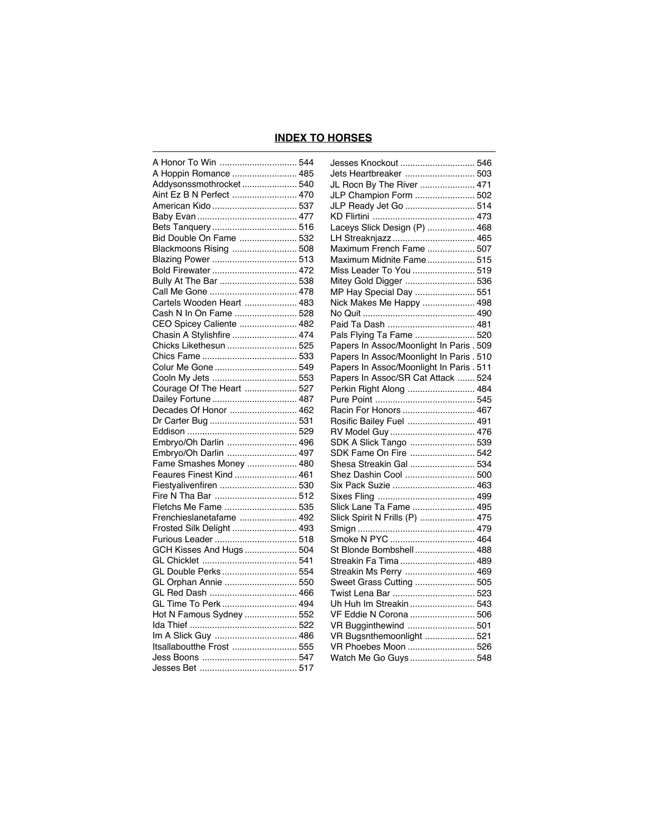## **INDEX TO HORSES**

| A Honor To Win  544       | Jesses Knockout  546                     |  |
|---------------------------|------------------------------------------|--|
| A Hoppin Romance  485     | Jets Heartbreaker  503                   |  |
| Addysonssmothrocket 540   | JL Rocn By The River  471                |  |
| Aint Ez B N Perfect  470  | JLP Champion Form  502                   |  |
| American Kido  537        | JLP Ready Jet Go  514                    |  |
|                           |                                          |  |
| Bets Tanquery 516         | Laceys Slick Design (P)  468             |  |
| Bid Double On Fame  532   | LH Streaknjazz  465                      |  |
| Blackmoons Rising  508    | Maximum French Fame  507                 |  |
| Blazing Power  513        | Maximum Midnite Fame 515                 |  |
| Bold Firewater  472       | Miss Leader To You  519                  |  |
| Bully At The Bar  538     | Mitey Gold Digger  536                   |  |
| Call Me Gone  478         | MP Hay Special Day  551                  |  |
| Cartels Wooden Heart  483 | Nick Makes Me Happy  498                 |  |
| Cash N In On Fame  528    |                                          |  |
| CEO Spicey Caliente  482  |                                          |  |
| Chasin A Stylishfire  474 | Pals Flying Ta Fame  520                 |  |
| Chicks Likethesun  525    | Papers In Assoc/Moonlight In Paris . 509 |  |
|                           | Papers In Assoc/Moonlight In Paris . 510 |  |
| Colur Me Gone  549        | Papers In Assoc/Moonlight In Paris . 511 |  |
| Cooln My Jets  553        | Papers In Assoc/SR Cat Attack  524       |  |
| Courage Of The Heart  527 | Perkin Right Along  484                  |  |
| Dailey Fortune  487       |                                          |  |
| Decades Of Honor  462     |                                          |  |
|                           | Rosific Bailey Fuel  491                 |  |
|                           |                                          |  |
| Embryo/Oh Darlin  496     | SDK A Slick Tango  539                   |  |
| Embryo/Oh Darlin  497     | SDK Fame On Fire  542                    |  |
| Fame Smashes Money  480   | Shesa Streakin Gal  534                  |  |
| Feaures Finest Kind  461  | Shez Dashin Cool  500                    |  |
| Fiestyalivenfiren  530    |                                          |  |
| Fire N Tha Bar  512       |                                          |  |
| Fletchs Me Fame  535      | Slick Lane Ta Fame  495                  |  |
| Frenchieslanetafame  492  | Slick Spirit N Frills (P)  475           |  |
| Frosted Silk Delight  493 |                                          |  |
| Furious Leader  518       | Smoke N PYC  464                         |  |
| GCH Kisses And Hugs  504  | St Blonde Bombshell 488                  |  |
|                           | Streakin Fa Tima 489                     |  |
| GL Double Perks  554      | Streakin Ms Perry  469                   |  |
| GL Orphan Annie  550      | Sweet Grass Cutting  505                 |  |
| GL Red Dash  466          |                                          |  |
| GL Time To Perk 494       |                                          |  |
| Hot N Famous Sydney  552  | VF Eddie N Corona  506                   |  |
|                           |                                          |  |
| Im A Slick Guy  486       | VR Bugsnthemoonlight  521                |  |
| Itsallaboutthe Frost  555 | VR Phoebes Moon  526                     |  |
|                           | Watch Me Go Guys  548                    |  |
|                           |                                          |  |
|                           |                                          |  |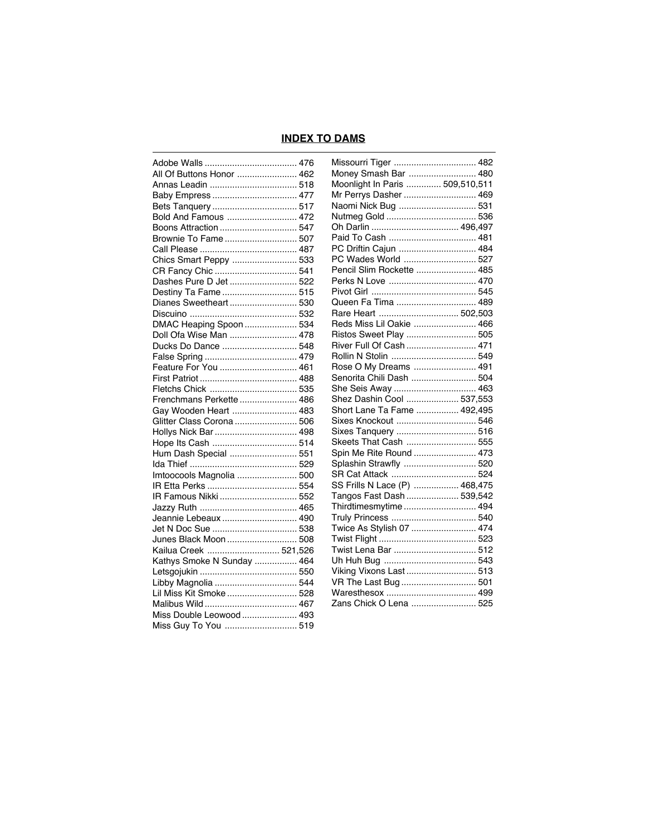# **INDEX TO DAMS**

| All Of Buttons Honor  462                    |  |
|----------------------------------------------|--|
|                                              |  |
|                                              |  |
|                                              |  |
| Bold And Famous  472                         |  |
| Boons Attraction  547                        |  |
| Brownie To Fame  507                         |  |
|                                              |  |
| Chics Smart Peppy  533                       |  |
|                                              |  |
| CR Fancy Chic  541<br>Dashes Pure D Jet  522 |  |
|                                              |  |
| Destiny Ta Fame  515                         |  |
| Dianes Sweetheart 530                        |  |
|                                              |  |
| DMAC Heaping Spoon  534                      |  |
| Doll Ofa Wise Man  478                       |  |
| Ducks Do Dance  548                          |  |
|                                              |  |
| Feature For You  461                         |  |
|                                              |  |
|                                              |  |
| Frenchmans Perkette  486                     |  |
| Gay Wooden Heart  483                        |  |
| Glitter Class Corona  506                    |  |
| Hollys Nick Bar  498                         |  |
| Hope Its Cash  514                           |  |
| Hum Dash Special  551                        |  |
|                                              |  |
| Imtoocools Magnolia  500                     |  |
|                                              |  |
| IR Famous Nikki  552                         |  |
|                                              |  |
| Jeannie Lebeaux  490                         |  |
|                                              |  |
| Junes Black Moon  508                        |  |
|                                              |  |
| Kailua Creek  521,526                        |  |
| Kathys Smoke N Sunday  464                   |  |
|                                              |  |
|                                              |  |
| Lil Miss Kit Smoke  528                      |  |
|                                              |  |
| Miss Double Leowood  493                     |  |
| Miss Guy To You  519                         |  |
|                                              |  |

| Missourri Tiger  482            |  |
|---------------------------------|--|
| Money Smash Bar  480            |  |
| Moonlight In Paris  509,510,511 |  |
| Mr Perrys Dasher  469           |  |
| Naomi Nick Bug  531             |  |
|                                 |  |
|                                 |  |
| Paid To Cash  481               |  |
| PC Driftin Cajun  484           |  |
| PC Wades World  527             |  |
| Pencil Slim Rockette  485       |  |
|                                 |  |
|                                 |  |
| Queen Fa Tima  489              |  |
| Rare Heart  502,503             |  |
| Reds Miss Lil Oakie  466        |  |
| Ristos Sweet Play  505          |  |
| River Full Of Cash  471         |  |
|                                 |  |
| Rose O My Dreams  491           |  |
| Senorita Chili Dash  504        |  |
| She Seis Away  463              |  |
| Shez Dashin Cool  537,553       |  |
| Short Lane Ta Fame  492,495     |  |
| Sixes Knockout  546             |  |
| Sixes Tanquery  516             |  |
| Skeets That Cash  555           |  |
| Spin Me Rite Round  473         |  |
| Splashin Strawfly  520          |  |
|                                 |  |
| SS Frills N Lace (P)  468,475   |  |
| Tangos Fast Dash  539,542       |  |
| Thirdtimesmytime  494           |  |
|                                 |  |
| Twice As Stylish 07  474        |  |
|                                 |  |
|                                 |  |
|                                 |  |
| Viking Vixons Last  513         |  |
| VR The Last Bug  501            |  |
|                                 |  |
| Zans Chick O Lena  525          |  |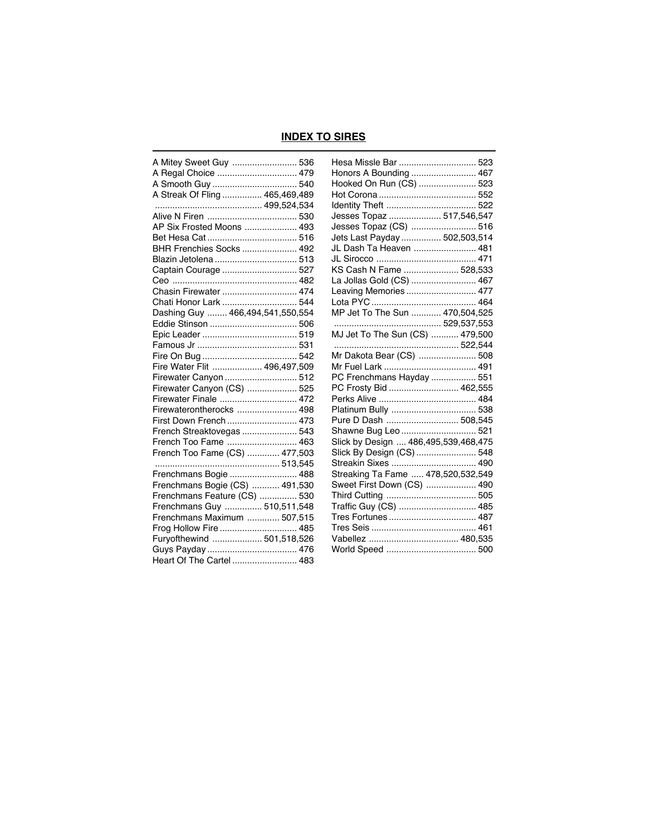## **INDEX TO SIRES**

| A Mitey Sweet Guy  536           |  |
|----------------------------------|--|
| A Regal Choice  479              |  |
|                                  |  |
| A Streak Of Fling  465,469,489   |  |
|                                  |  |
|                                  |  |
| AP Six Frosted Moons  493        |  |
|                                  |  |
| BHR Frenchies Socks  492         |  |
| Blazin Jetolena  513             |  |
| Captain Courage  527             |  |
|                                  |  |
| Chasin Firewater  474            |  |
| Chati Honor Lark  544            |  |
| Dashing Guy  466,494,541,550,554 |  |
|                                  |  |
|                                  |  |
|                                  |  |
|                                  |  |
| Fire Water Flit  496,497,509     |  |
| Firewater Canyon  512            |  |
| Firewater Canyon (CS)  525       |  |
| Firewater Finale  472            |  |
| Firewaterontherocks  498         |  |
| First Down French  473           |  |
| French Streaktovegas  543        |  |
| French Too Fame  463             |  |
| French Too Fame (CS)  477,503    |  |
|                                  |  |
| Frenchmans Bogie  488            |  |
| Frenchmans Bogie (CS)  491,530   |  |
| Frenchmans Feature (CS)  530     |  |
| Frenchmans Guy  510,511,548      |  |
| Frenchmans Maximum  507,515      |  |
| Frog Hollow Fire  485            |  |
| Furyofthewind  501,518,526       |  |
|                                  |  |
| Heart Of The Cartel 483          |  |

| Hesa Missle Bar  523                 |  |  |
|--------------------------------------|--|--|
| Honors A Bounding  467               |  |  |
| Hooked On Run (CS)  523              |  |  |
|                                      |  |  |
|                                      |  |  |
| Jesses Topaz  517,546,547            |  |  |
| Jesses Topaz (CS)  516               |  |  |
| Jets Last Payday  502,503,514        |  |  |
| JL Dash Ta Heaven  481               |  |  |
|                                      |  |  |
| KS Cash N Fame  528,533              |  |  |
| La Jollas Gold (CS)  467             |  |  |
| Leaving Memories  477                |  |  |
|                                      |  |  |
| MP Jet To The Sun  470,504,525       |  |  |
| 529,537,553                          |  |  |
|                                      |  |  |
| 522,544                              |  |  |
| Mr Dakota Bear (CS)  508             |  |  |
|                                      |  |  |
| PC Frenchmans Hayday  551            |  |  |
| PC Frosty Bid  462,555               |  |  |
|                                      |  |  |
|                                      |  |  |
| Pure D Dash  508,545                 |  |  |
| Shawne Bug Leo  521                  |  |  |
| Slick by Design  486,495,539,468,475 |  |  |
| Slick By Design (CS)  548            |  |  |
| Streakin Sixes  490                  |  |  |
| Streaking Ta Fame  478,520,532,549   |  |  |
| Sweet First Down (CS)  490           |  |  |
|                                      |  |  |
| Traffic Guy (CS)  485                |  |  |
|                                      |  |  |
|                                      |  |  |
|                                      |  |  |
|                                      |  |  |
|                                      |  |  |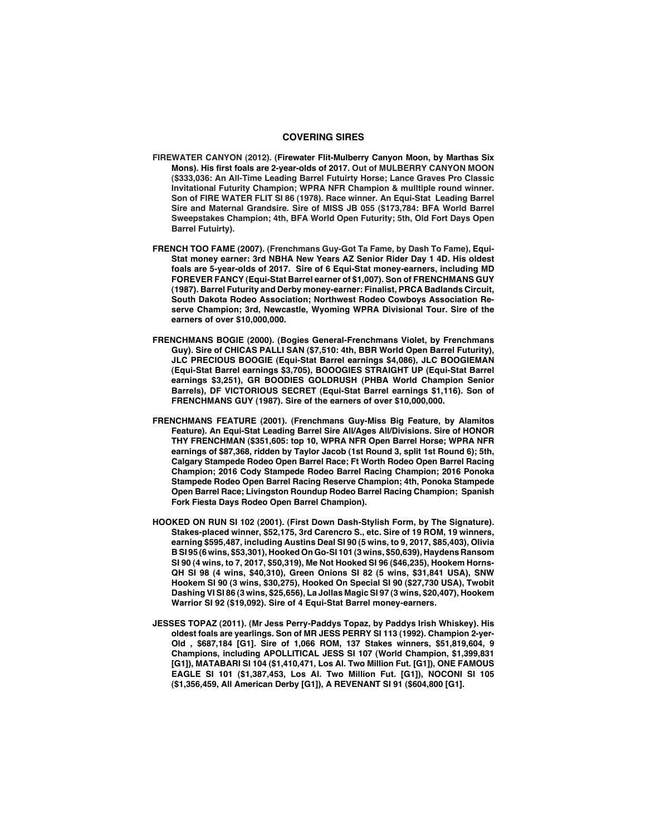### **COVERING SIRES**

- **FIREWATER CANYON (2012). (Firewater Flit-Mulberry Canyon Moon, by Marthas Six Mons). His first foals are 2-year-olds of 2017. Out of MULBERRY CANYON MOON (\$333,036: An All-Time Leading Barrel Futuirty Horse; Lance Graves Pro Classic Invitational Futurity Champion; WPRA NFR Champion & mulltiple round winner. Son of FIRE WATER FLIT SI 86 (1978). Race winner. An Equi-Stat Leading Barrel Sire and Maternal Grandsire. Sire of MISS JB 055 (\$173,784: BFA World Barrel Sweepstakes Champion; 4th, BFA World Open Futurity; 5th, Old Fort Days Open Barrel Futuirty).**
- **FRENCH TOO FAME (2007). (Frenchmans Guy-Got Ta Fame, by Dash To Fame), Equi-Stat money earner: 3rd NBHA New Years AZ Senior Rider Day 1 4D. His oldest foals are 5-year-olds of 2017. Sire of 6 Equi-Stat money-earners, including MD FOREVER FANCY (Equi-Stat Barrel earner of \$1,007). Son of FRENCHMANS GUY (1987). Barrel Futurity and Derby money-earner: Finalist, PRCA Badlands Circuit, South Dakota Rodeo Association; Northwest Rodeo Cowboys Association Reserve Champion; 3rd, Newcastle, Wyoming WPRA Divisional Tour. Sire of the earners of over \$10,000,000.**
- **FRENCHMANS BOGIE (2000). (Bogies General-Frenchmans Violet, by Frenchmans Guy). Sire of CHICAS PALLI SAN (\$7,510: 4th, BBR World Open Barrel Futurity), JLC PRECIOUS BOOGIE (Equi-Stat Barrel earnings \$4,086), JLC BOOGIEMAN (Equi-Stat Barrel earnings \$3,705), BOOOGIES STRAIGHT UP (Equi-Stat Barrel earnings \$3,251), GR BOODIES GOLDRUSH (PHBA World Champion Senior Barrels), DF VICTORIOUS SECRET (Equi-Stat Barrel earnings \$1,116). Son of FRENCHMANS GUY (1987). Sire of the earners of over \$10,000,000.**
- **FRENCHMANS FEATURE (2001). (Frenchmans Guy-Miss Big Feature, by Alamitos Feature). An Equi-Stat Leading Barrel Sire All/Ages All/Divisions. Sire of HONOR THY FRENCHMAN (\$351,605: top 10, WPRA NFR Open Barrel Horse; WPRA NFR earnings of \$87,368, ridden by Taylor Jacob (1st Round 3, split 1st Round 6); 5th, Calgary Stampede Rodeo Open Barrel Race; Ft Worth Rodeo Open Barrel Racing Champion; 2016 Cody Stampede Rodeo Barrel Racing Champion; 2016 Ponoka Stampede Rodeo Open Barrel Racing Reserve Champion; 4th, Ponoka Stampede Open Barrel Race; Livingston Roundup Rodeo Barrel Racing Champion; Spanish Fork Fiesta Days Rodeo Open Barrel Champion).**
- **HOOKED ON RUN SI 102 (2001). (First Down Dash-Stylish Form, by The Signature). Stakes-placed winner, \$52,175, 3rd Carencro S., etc. Sire of 19 ROM, 19 winners, earning \$595,487, including Austins Deal SI 90 (5 wins, to 9, 2017, \$85,403), Olivia B SI 95 (6 wins, \$53,301), Hooked On Go-SI 101 (3 wins, \$50,639), Haydens Ransom SI 90 (4 wins, to 7, 2017, \$50,319), Me Not Hooked SI 96 (\$46,235), Hookem Horns-QH SI 98 (4 wins, \$40,310), Green Onions SI 82 (5 wins, \$31,841 USA), SNW Hookem SI 90 (3 wins, \$30,275), Hooked On Special SI 90 (\$27,730 USA), Twobit Dashing VI SI 86 (3 wins, \$25,656), La Jollas Magic SI 97 (3 wins, \$20,407), Hookem Warrior SI 92 (\$19,092). Sire of 4 Equi-Stat Barrel money-earners.**
- **JESSES TOPAZ (2011). (Mr Jess Perry-Paddys Topaz, by Paddys Irish Whiskey). His oldest foals are yearlings. Son of MR JESS PERRY SI 113 (1992). Champion 2-yer-Old , \$687,184 [G1]. Sire of 1,066 ROM, 137 Stakes winners, \$51,819,604, 9 Champions, including APOLLITICAL JESS SI 107 (World Champion, \$1,399,831 [G1]), MATABARI SI 104 (\$1,410,471, Los Al. Two Million Fut. [G1]), ONE FAMOUS EAGLE SI 101 (\$1,387,453, Los Al. Two Million Fut. [G1]), NOCONI SI 105 (\$1,356,459, All American Derby [G1]), A REVENANT SI 91 (\$604,800 [G1].**